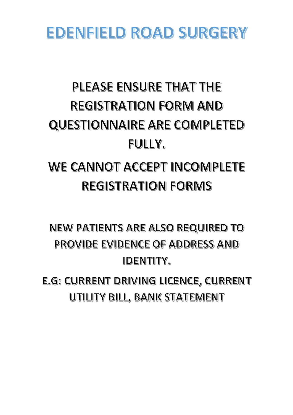# EDENFIELD ROAD SURGERY

# PLEASE ENSURE THAT THE **REGISTRATION FORM AND QUESTIONNAIRE ARE COMPLETED** FULLY.

# WE CANNOT ACCEPT INCOMPLETE **REGISTRATION FORMS**

**NEW PATIENTS ARE ALSO REQUIRED TO** PROVIDE EVIDENCE OF ADDRESS AND **IDENTITY.** 

E.G: CURRENT DRIVING LICENCE, CURRENT UTILITY BILL, BANK STATEMENT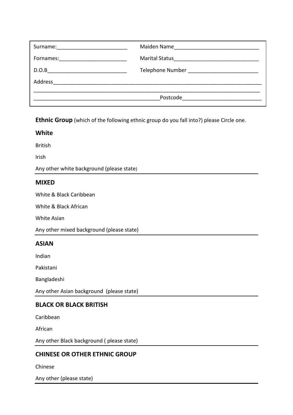| Surname:                                                                                                                      | Maiden Name                              |
|-------------------------------------------------------------------------------------------------------------------------------|------------------------------------------|
| Fornames: ________________________                                                                                            |                                          |
| D.O.B<br><u> 2000 - 2000 - 2000 - 2000 - 2000 - 2000 - 2000 - 2000 - 2000 - 2000 - 2000 - 2000 - 2000 - 2000 - 2000 - 200</u> | Telephone Number _______________________ |
| Address                                                                                                                       |                                          |
|                                                                                                                               | Postcode                                 |

**Ethnic Group** (which of the following ethnic group do you fall into?) please Circle one.

### **White**

British

Irish

Any other white background (please state)

#### **MIXED**

White & Black Caribbean

White & Black African

White Asian

Any other mixed background (please state)

#### **ASIAN**

Indian

Pakistani

Bangladeshi

Any other Asian background (please state)

#### **BLACK OR BLACK BRITISH**

Caribbean

African

Any other Black background ( please state)

### **CHINESE OR OTHER ETHNIC GROUP**

Chinese

Any other (please state)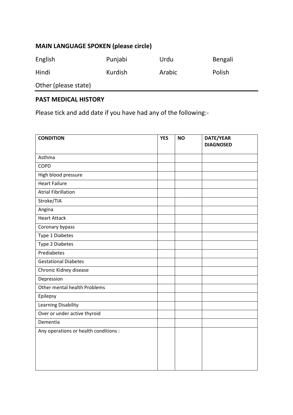# **MAIN LANGUAGE SPOKEN (please circle)**

| English              | Punjabi | Urdu   | Bengali |
|----------------------|---------|--------|---------|
| Hindi                | Kurdish | Arabic | Polish  |
| Other (please state) |         |        |         |

# **PAST MEDICAL HISTORY**

Please tick and add date if you have had any of the following:-

| <b>CONDITION</b>                      | <b>YES</b> | <b>NO</b> | DATE/YEAR        |
|---------------------------------------|------------|-----------|------------------|
|                                       |            |           | <b>DIAGNOSED</b> |
| Asthma                                |            |           |                  |
| COPD                                  |            |           |                  |
| High blood pressure                   |            |           |                  |
| <b>Heart Failure</b>                  |            |           |                  |
| <b>Atrial Fibrillation</b>            |            |           |                  |
| Stroke/TIA                            |            |           |                  |
| Angina                                |            |           |                  |
| <b>Heart Attack</b>                   |            |           |                  |
| Coronary bypass                       |            |           |                  |
| Type 1 Diabetes                       |            |           |                  |
| Type 2 Diabetes                       |            |           |                  |
| Prediabetes                           |            |           |                  |
| <b>Gestational Diabetes</b>           |            |           |                  |
| Chronic Kidney disease                |            |           |                  |
| Depression                            |            |           |                  |
| Other mental health Problems          |            |           |                  |
| Epilepsy                              |            |           |                  |
| Learning Disability                   |            |           |                  |
| Over or under active thyroid          |            |           |                  |
| Dementia                              |            |           |                  |
| Any operations or health conditions : |            |           |                  |
|                                       |            |           |                  |
|                                       |            |           |                  |
|                                       |            |           |                  |
|                                       |            |           |                  |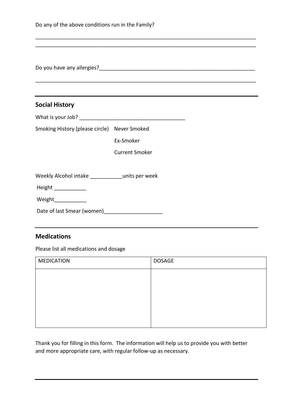| Do any of the above conditions run in the Family?                         |                       |               |
|---------------------------------------------------------------------------|-----------------------|---------------|
|                                                                           |                       |               |
| <b>Social History</b>                                                     |                       |               |
|                                                                           |                       |               |
| Smoking History (please circle) Never Smoked                              |                       |               |
|                                                                           | Ex-Smoker             |               |
|                                                                           | <b>Current Smoker</b> |               |
| Weekly Alcohol intake ____________units per week<br>Height ______________ |                       |               |
| Weight______________                                                      |                       |               |
|                                                                           |                       |               |
| <b>Medications</b>                                                        |                       |               |
| Please list all medications and dosage                                    |                       |               |
| <b>MEDICATION</b>                                                         |                       | <b>DOSAGE</b> |
|                                                                           |                       |               |

| MEDICATION | <b>DOSAGE</b> |
|------------|---------------|
|            |               |
|            |               |
|            |               |
|            |               |
|            |               |
|            |               |

Thank you for filling in this form. The information will help us to provide you with better and more appropriate care, with regular follow-up as necessary.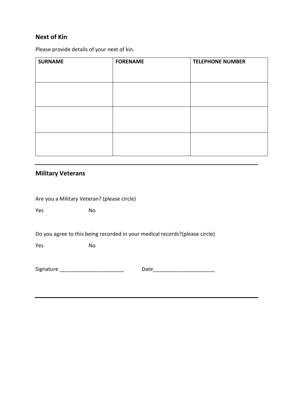# **Next of Kin**

Please provide details of your next of kin.

| <b>SURNAME</b> | <b>FORENAME</b> | <b>TELEPHONE NUMBER</b> |
|----------------|-----------------|-------------------------|
|                |                 |                         |
|                |                 |                         |
|                |                 |                         |
|                |                 |                         |
|                |                 |                         |
|                |                 |                         |
|                |                 |                         |

## **Military Veterans**

Are you a Military Veteran? (please circle)

Yes No

Do you agree to this being recorded in your medical records?(please circle)

Yes No

Signature **Example 20** and the Date of Date of  $\overline{a}$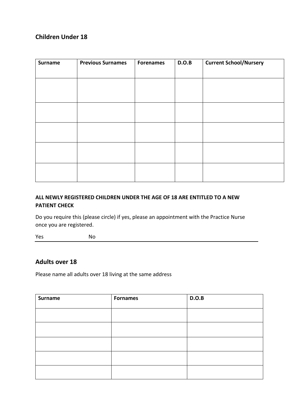# **Children Under 18**

| <b>Surname</b> | <b>Previous Surnames</b> | <b>Forenames</b> | D.O.B | <b>Current School/Nursery</b> |
|----------------|--------------------------|------------------|-------|-------------------------------|
|                |                          |                  |       |                               |
|                |                          |                  |       |                               |
|                |                          |                  |       |                               |
|                |                          |                  |       |                               |
|                |                          |                  |       |                               |
|                |                          |                  |       |                               |
|                |                          |                  |       |                               |
|                |                          |                  |       |                               |
|                |                          |                  |       |                               |
|                |                          |                  |       |                               |
|                |                          |                  |       |                               |

# **ALL NEWLY REGISTERED CHILDREN UNDER THE AGE OF 18 ARE ENTITLED TO A NEW PATIENT CHECK**

Do you require this (please circle) if yes, please an appointment with the Practice Nurse once you are registered.

Yes No

## **Adults over 18**

Please name all adults over 18 living at the same address

| <b>Surname</b> | <b>Fornames</b> | D.O.B |
|----------------|-----------------|-------|
|                |                 |       |
|                |                 |       |
|                |                 |       |
|                |                 |       |
|                |                 |       |
|                |                 |       |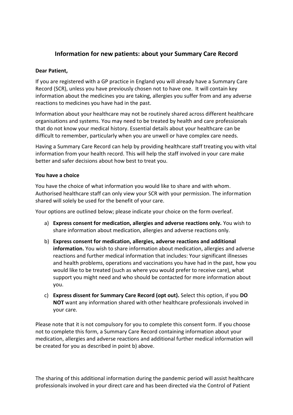# **Information for new patients: about your Summary Care Record**

#### **Dear Patient,**

If you are registered with a GP practice in England you will already have a Summary Care Record (SCR), unless you have previously chosen not to have one. It will contain key information about the medicines you are taking, allergies you suffer from and any adverse reactions to medicines you have had in the past.

Information about your healthcare may not be routinely shared across different healthcare organisations and systems. You may need to be treated by health and care professionals that do not know your medical history. Essential details about your healthcare can be difficult to remember, particularly when you are unwell or have complex care needs.

Having a Summary Care Record can help by providing healthcare staff treating you with vital information from your health record. This will help the staff involved in your care make better and safer decisions about how best to treat you.

#### **You have a choice**

You have the choice of what information you would like to share and with whom. Authorised healthcare staff can only view your SCR with your permission. The information shared will solely be used for the benefit of your care.

Your options are outlined below; please indicate your choice on the form overleaf.

- a) **Express consent for medication, allergies and adverse reactions only.** You wish to share information about medication, allergies and adverse reactions only.
- b) **Express consent for medication, allergies, adverse reactions and additional information.** You wish to share information about medication, allergies and adverse reactions and further medical information that includes: Your significant illnesses and health problems, operations and vaccinations you have had in the past, how you would like to be treated (such as where you would prefer to receive care), what support you might need and who should be contacted for more information about you.
- c) **Express dissent for Summary Care Record (opt out).** Select this option, if you **DO NOT** want any information shared with other healthcare professionals involved in your care.

Please note that it is not compulsory for you to complete this consent form. If you choose not to complete this form, a Summary Care Record containing information about your medication, allergies and adverse reactions and additional further medical information will be created for you as described in point b) above.

The sharing of this additional information during the pandemic period will assist healthcare professionals involved in your direct care and has been directed via the Control of Patient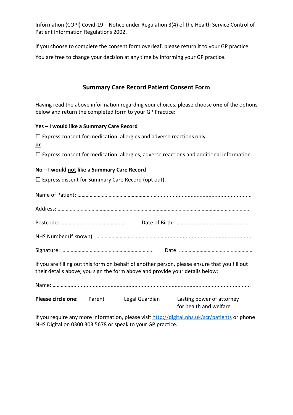Information (COPI) Covid-19 – Notice under Regulation 3(4) of the Health Service Control of Patient Information Regulations 2002.

If you choose to complete the consent form overleaf, please return it to your GP practice.

You are free to change your decision at any time by informing your GP practice.

# **Summary Care Record Patient Consent Form**

Having read the above information regarding your choices, please choose **one** of the options below and return the completed form to your GP Practice:

#### **Yes – I would like a Summary Care Record**

 $\square$  Express consent for medication, allergies and adverse reactions only. **or**  $\square$  Express consent for medication, allergies, adverse reactions and additional information. **No – I would not like a Summary Care Record**   $\square$  Express dissent for Summary Care Record (opt out). Name of Patient: ………………………………………………..…............................................................... Address: ……………………………………………………………………………………………………………………………. Postcode: ………………………………………… Date of Birth: ……….......................................... NHS Number (if known): …………………………..………………........................................................... Signature: ………………………………………………………….. Date: ……………………………………………… If you are filling out this form on behalf of another person, please ensure that you fill out their details above; you sign the form above and provide your details below: Name: ………….......................................................................................................................... **Please circle one:** Parent Legal Guardian Lasting power of attorney for health and welfare

If you require any more information, please visi[t http://digital.nhs.uk/scr/patients](http://digital.nhs.uk/scr/patients) or phone NHS Digital on 0300 303 5678 or speak to your GP practice.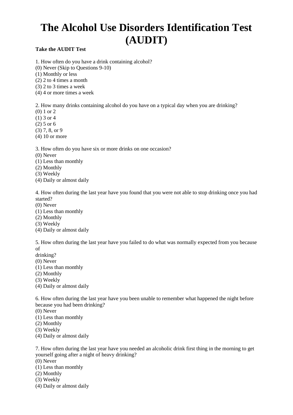# **The Alcohol Use Disorders Identification Test (AUDIT)**

#### **Take the AUDIT Test**

- 1. How often do you have a drink containing alcohol?
- (0) Never (Skip to Questions 9-10)
- (1) Monthly or less
- (2) 2 to 4 times a month
- (3) 2 to 3 times a week
- (4) 4 or more times a week

2. How many drinks containing alcohol do you have on a typical day when you are drinking?

- (0) 1 or 2
- (1) 3 or 4
- (2) 5 or 6
- (3) 7, 8, or 9
- (4) 10 or more

3. How often do you have six or more drinks on one occasion?

- (0) Never
- (1) Less than monthly
- (2) Monthly
- (3) Weekly
- (4) Daily or almost daily

4. How often during the last year have you found that you were not able to stop drinking once you had started?

- (0) Never
- (1) Less than monthly
- (2) Monthly
- (3) Weekly
- (4) Daily or almost daily

5. How often during the last year have you failed to do what was normally expected from you because of

- drinking?
- (0) Never
- (1) Less than monthly
- (2) Monthly
- (3) Weekly
- (4) Daily or almost daily

6. How often during the last year have you been unable to remember what happened the night before because you had been drinking?

- (0) Never
- (1) Less than monthly
- (2) Monthly
- (3) Weekly
- (4) Daily or almost daily

7. How often during the last year have you needed an alcoholic drink first thing in the morning to get yourself going after a night of heavy drinking?

- (0) Never
- (1) Less than monthly
- (2) Monthly
- (3) Weekly
- (4) Daily or almost daily